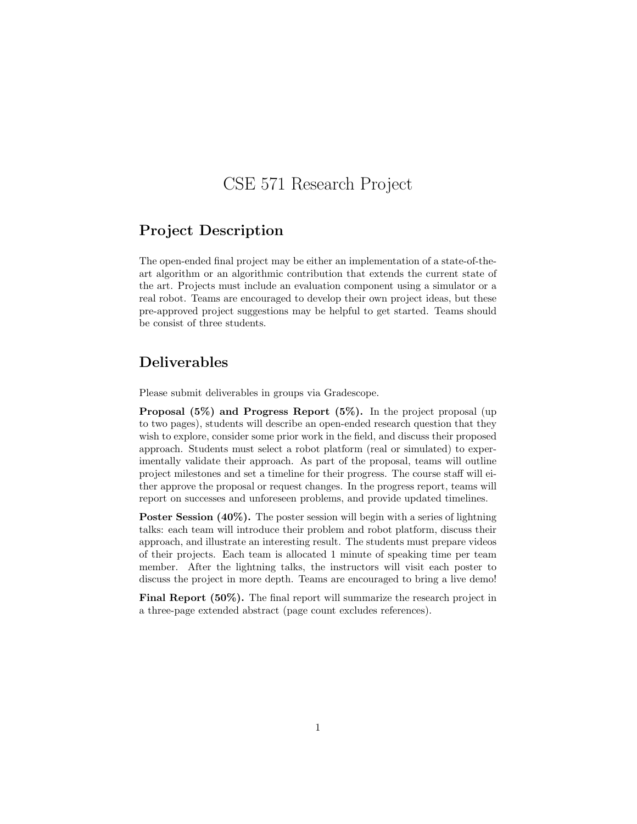# CSE 571 Research Project

## Project Description

The open-ended final project may be either an implementation of a state-of-theart algorithm or an algorithmic contribution that extends the current state of the art. Projects must include an evaluation component using a simulator or a real robot. Teams are encouraged to develop their own project ideas, but these pre-approved project suggestions may be helpful to get started. Teams should be consist of three students.

# Deliverables

Please submit deliverables in groups via Gradescope.

Proposal (5%) and Progress Report (5%). In the project proposal (up to two pages), students will describe an open-ended research question that they wish to explore, consider some prior work in the field, and discuss their proposed approach. Students must select a robot platform (real or simulated) to experimentally validate their approach. As part of the proposal, teams will outline project milestones and set a timeline for their progress. The course staff will either approve the proposal or request changes. In the progress report, teams will report on successes and unforeseen problems, and provide updated timelines.

Poster Session (40%). The poster session will begin with a series of lightning talks: each team will introduce their problem and robot platform, discuss their approach, and illustrate an interesting result. The students must prepare videos of their projects. Each team is allocated 1 minute of speaking time per team member. After the lightning talks, the instructors will visit each poster to discuss the project in more depth. Teams are encouraged to bring a live demo!

Final Report (50%). The final report will summarize the research project in a three-page extended abstract (page count excludes references).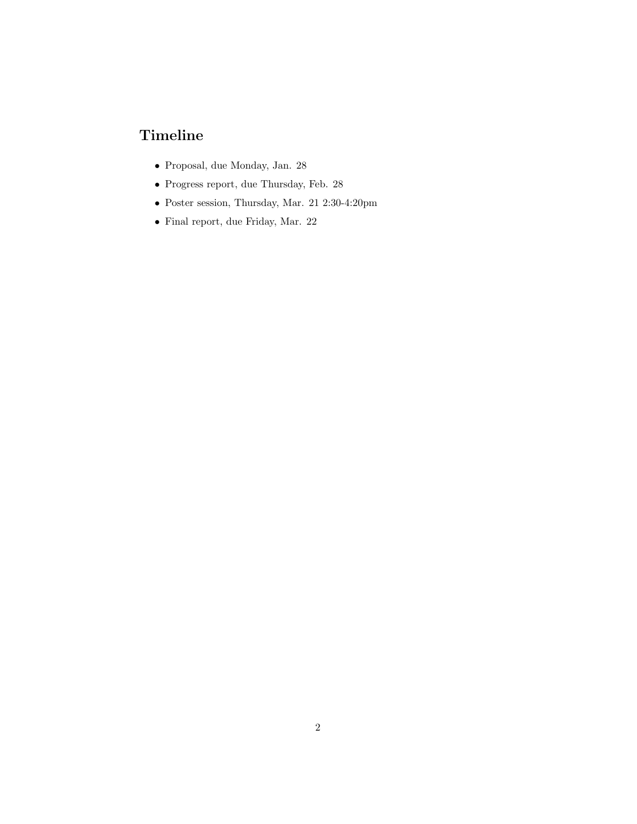# Timeline

- Proposal, due Monday, Jan. 28
- Progress report, due Thursday, Feb. 28
- Poster session, Thursday, Mar. 21 2:30-4:20pm
- Final report, due Friday, Mar. 22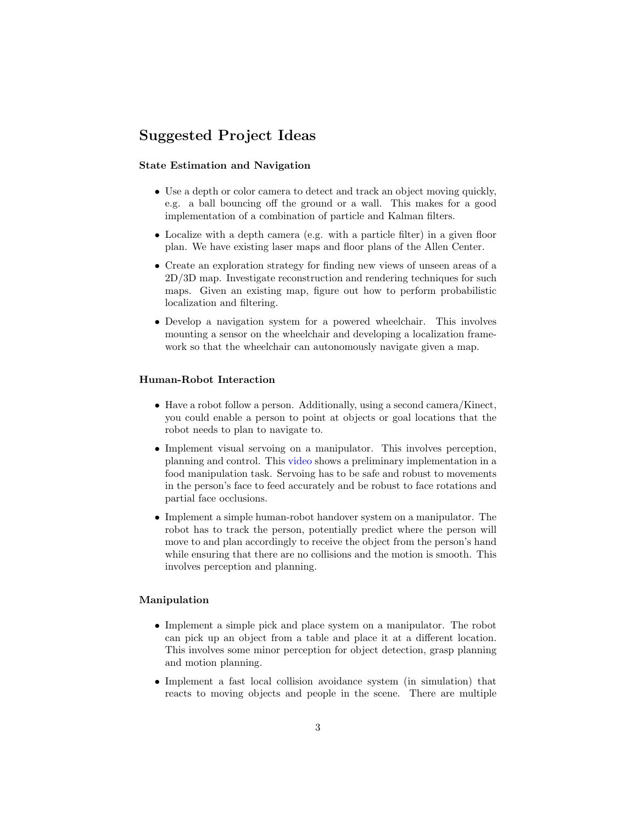# Suggested Project Ideas

#### State Estimation and Navigation

- Use a depth or color camera to detect and track an object moving quickly, e.g. a ball bouncing off the ground or a wall. This makes for a good implementation of a combination of particle and Kalman filters.
- Localize with a depth camera (e.g. with a particle filter) in a given floor plan. We have existing laser maps and floor plans of the Allen Center.
- Create an exploration strategy for finding new views of unseen areas of a 2D/3D map. Investigate reconstruction and rendering techniques for such maps. Given an existing map, figure out how to perform probabilistic localization and filtering.
- Develop a navigation system for a powered wheelchair. This involves mounting a sensor on the wheelchair and developing a localization framework so that the wheelchair can autonomously navigate given a map.

#### Human-Robot Interaction

- Have a robot follow a person. Additionally, using a second camera/Kinect, you could enable a person to point at objects or goal locations that the robot needs to plan to navigate to.
- Implement visual servoing on a manipulator. This involves perception, planning and control. This [video](https://youtu.be/t2eO4CD-0WY?t=231) shows a preliminary implementation in a food manipulation task. Servoing has to be safe and robust to movements in the person's face to feed accurately and be robust to face rotations and partial face occlusions.
- Implement a simple human-robot handover system on a manipulator. The robot has to track the person, potentially predict where the person will move to and plan accordingly to receive the object from the person's hand while ensuring that there are no collisions and the motion is smooth. This involves perception and planning.

### Manipulation

- Implement a simple pick and place system on a manipulator. The robot can pick up an object from a table and place it at a different location. This involves some minor perception for object detection, grasp planning and motion planning.
- Implement a fast local collision avoidance system (in simulation) that reacts to moving objects and people in the scene. There are multiple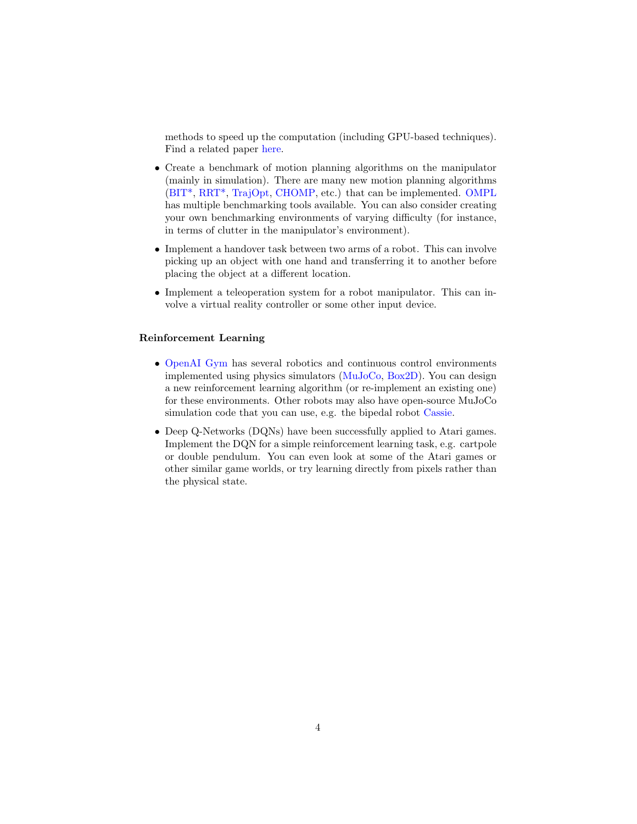methods to speed up the computation (including GPU-based techniques). Find a related paper [here.](https://goo.gl/pauPfZ)

- Create a benchmark of motion planning algorithms on the manipulator (mainly in simulation). There are many new motion planning algorithms [\(BIT\\*,](https://arxiv.org/abs/1405.5848) [RRT\\*,](https://arxiv.org/abs/1105.1186) [TrajOpt,](http://rll.berkeley.edu/trajopt/ijrr/2013-IJRR-TRAJOPT.pdf) [CHOMP,](https://journals.sagepub.com/doi/abs/10.1177/0278364913488805) etc.) that can be implemented. [OMPL](http://ompl.kavrakilab.org/) has multiple benchmarking tools available. You can also consider creating your own benchmarking environments of varying difficulty (for instance, in terms of clutter in the manipulator's environment).
- Implement a handover task between two arms of a robot. This can involve picking up an object with one hand and transferring it to another before placing the object at a different location.
- Implement a teleoperation system for a robot manipulator. This can involve a virtual reality controller or some other input device.

#### Reinforcement Learning

- [OpenAI Gym](https://gym.openai.com/) has several robotics and continuous control environments implemented using physics simulators [\(MuJoCo,](http://www.mujoco.org/) [Box2D\)](https://box2d.org/). You can design a new reinforcement learning algorithm (or re-implement an existing one) for these environments. Other robots may also have open-source MuJoCo simulation code that you can use, e.g. the bipedal robot [Cassie.](https://arxiv.org/pdf/1803.05580.pdf)
- Deep Q-Networks (DQNs) have been successfully applied to Atari games. Implement the DQN for a simple reinforcement learning task, e.g. cartpole or double pendulum. You can even look at some of the Atari games or other similar game worlds, or try learning directly from pixels rather than the physical state.